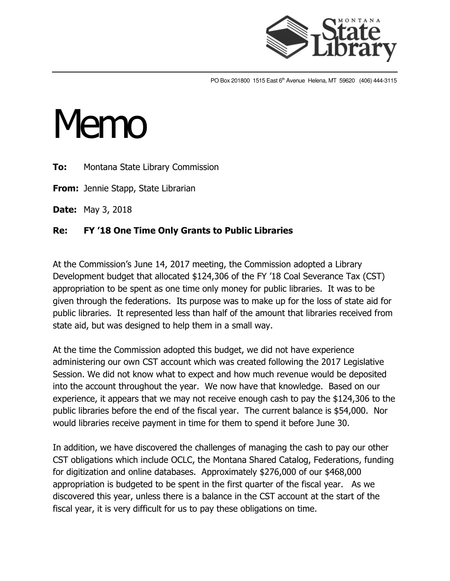

PO Box 201800 1515 East 6<sup>th</sup> Avenue Helena, MT 59620 (406) 444-3115

## Memo

**To:** Montana State Library Commission

**From:** Jennie Stapp, State Librarian

**Date:** May 3, 2018

## **Re: FY '18 One Time Only Grants to Public Libraries**

At the Commission's June 14, 2017 meeting, the Commission adopted a Library Development budget that allocated \$124,306 of the FY '18 Coal Severance Tax (CST) appropriation to be spent as one time only money for public libraries. It was to be given through the federations. Its purpose was to make up for the loss of state aid for public libraries. It represented less than half of the amount that libraries received from state aid, but was designed to help them in a small way.

At the time the Commission adopted this budget, we did not have experience administering our own CST account which was created following the 2017 Legislative Session. We did not know what to expect and how much revenue would be deposited into the account throughout the year. We now have that knowledge. Based on our experience, it appears that we may not receive enough cash to pay the \$124,306 to the public libraries before the end of the fiscal year. The current balance is \$54,000. Nor would libraries receive payment in time for them to spend it before June 30.

In addition, we have discovered the challenges of managing the cash to pay our other CST obligations which include OCLC, the Montana Shared Catalog, Federations, funding for digitization and online databases. Approximately \$276,000 of our \$468,000 appropriation is budgeted to be spent in the first quarter of the fiscal year. As we discovered this year, unless there is a balance in the CST account at the start of the fiscal year, it is very difficult for us to pay these obligations on time.